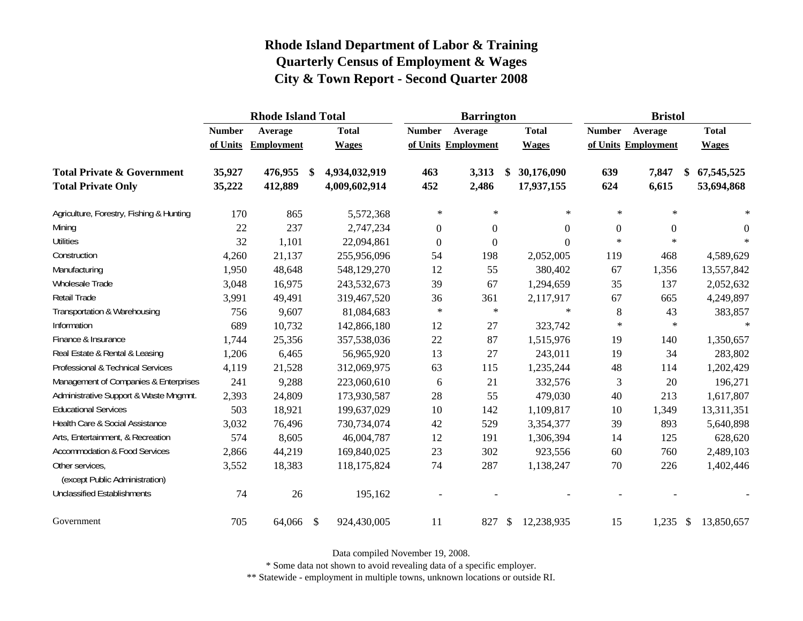|                                                   |               | <b>Rhode Island Total</b> |                           |               |                  | <b>Barrington</b>   |                  |                  | <b>Bristol</b>      |                  |
|---------------------------------------------------|---------------|---------------------------|---------------------------|---------------|------------------|---------------------|------------------|------------------|---------------------|------------------|
|                                                   | <b>Number</b> | Average                   |                           | <b>Total</b>  | <b>Number</b>    | Average             | <b>Total</b>     | <b>Number</b>    | Average             | <b>Total</b>     |
|                                                   | of Units      | <b>Employment</b>         |                           | <b>Wages</b>  |                  | of Units Employment | <b>Wages</b>     |                  | of Units Employment | <b>Wages</b>     |
| <b>Total Private &amp; Government</b>             | 35,927        | 476,955                   | - \$                      | 4,934,032,919 | 463              | 3,313               | \$<br>30,176,090 | 639              | 7,847               | \$<br>67,545,525 |
| <b>Total Private Only</b>                         | 35,222        | 412,889                   |                           | 4,009,602,914 | 452              | 2,486               | 17,937,155       | 624              | 6,615               | 53,694,868       |
| Agriculture, Forestry, Fishing & Hunting          | 170           | 865                       |                           | 5,572,368     | $\ast$           | $\ast$              | $\ast$           | $\ast$           | $\ast$              | $\ast$           |
| Mining                                            | 22            | 237                       |                           | 2,747,234     | $\boldsymbol{0}$ | $\overline{0}$      | $\Omega$         | $\boldsymbol{0}$ | $\boldsymbol{0}$    | $\overline{0}$   |
| <b>Utilities</b>                                  | 32            | 1,101                     |                           | 22,094,861    | $\boldsymbol{0}$ | $\boldsymbol{0}$    | $\Omega$         | $\ast$           | $\ast$              | $\star$          |
| Construction                                      | 4,260         | 21,137                    |                           | 255,956,096   | 54               | 198                 | 2,052,005        | 119              | 468                 | 4,589,629        |
| Manufacturing                                     | 1,950         | 48,648                    |                           | 548,129,270   | 12               | 55                  | 380,402          | 67               | 1,356               | 13,557,842       |
| Wholesale Trade                                   | 3,048         | 16,975                    |                           | 243,532,673   | 39               | 67                  | 1,294,659        | 35               | 137                 | 2,052,632        |
| Retail Trade                                      | 3,991         | 49,491                    |                           | 319,467,520   | 36               | 361                 | 2,117,917        | 67               | 665                 | 4,249,897        |
| Transportation & Warehousing                      | 756           | 9,607                     |                           | 81,084,683    | $\ast$           | $\ast$              | $\star$          | 8                | 43                  | 383,857          |
| Information                                       | 689           | 10,732                    |                           | 142,866,180   | 12               | 27                  | 323,742          | $\ast$           | $\ast$              | $\ast$           |
| Finance & Insurance                               | 1,744         | 25,356                    |                           | 357,538,036   | 22               | 87                  | 1,515,976        | 19               | 140                 | 1,350,657        |
| Real Estate & Rental & Leasing                    | 1,206         | 6,465                     |                           | 56,965,920    | 13               | 27                  | 243,011          | 19               | 34                  | 283,802          |
| Professional & Technical Services                 | 4,119         | 21,528                    |                           | 312,069,975   | 63               | 115                 | 1,235,244        | 48               | 114                 | 1,202,429        |
| Management of Companies & Enterprises             | 241           | 9,288                     |                           | 223,060,610   | 6                | 21                  | 332,576          | 3                | 20                  | 196,271          |
| Administrative Support & Waste Mngmnt.            | 2,393         | 24,809                    |                           | 173,930,587   | 28               | 55                  | 479,030          | 40               | 213                 | 1,617,807        |
| <b>Educational Services</b>                       | 503           | 18,921                    |                           | 199,637,029   | 10               | 142                 | 1,109,817        | 10               | 1,349               | 13,311,351       |
| Health Care & Social Assistance                   | 3,032         | 76,496                    |                           | 730,734,074   | 42               | 529                 | 3,354,377        | 39               | 893                 | 5,640,898        |
| Arts, Entertainment, & Recreation                 | 574           | 8,605                     |                           | 46,004,787    | 12               | 191                 | 1,306,394        | 14               | 125                 | 628,620          |
| <b>Accommodation &amp; Food Services</b>          | 2,866         | 44,219                    |                           | 169,840,025   | 23               | 302                 | 923,556          | 60               | 760                 | 2,489,103        |
| Other services,<br>(except Public Administration) | 3,552         | 18,383                    |                           | 118,175,824   | 74               | 287                 | 1,138,247        | 70               | 226                 | 1,402,446        |
| <b>Unclassified Establishments</b>                | 74            | 26                        |                           | 195,162       |                  |                     |                  |                  |                     |                  |
| Government                                        | 705           | 64,066                    | $\boldsymbol{\mathsf{S}}$ | 924,430,005   | 11               | 827                 | \$<br>12,238,935 | 15               | $1,235$ \$          | 13,850,657       |

Data compiled November 19, 2008.

\* Some data not shown to avoid revealing data of a specific employer.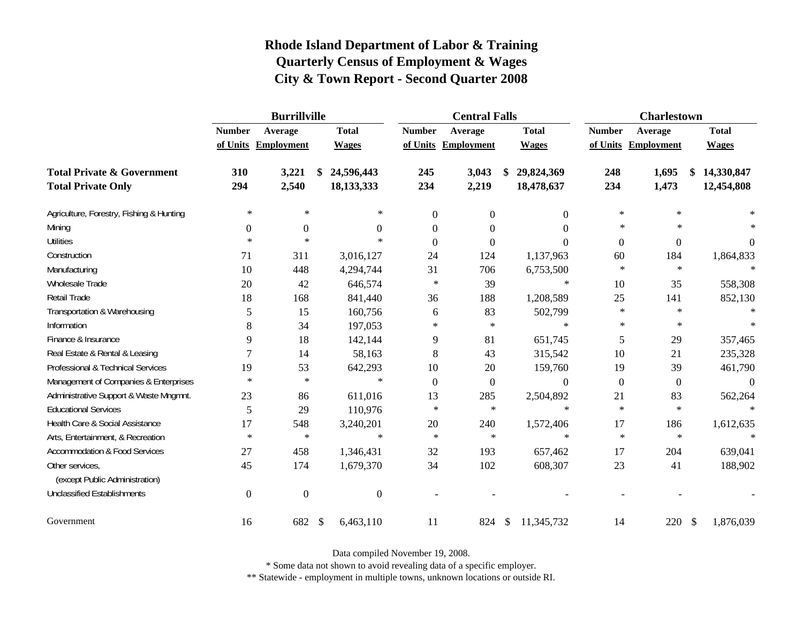|                                                   |                  | <b>Burrillville</b> |    |                | <b>Central Falls</b> |                     |               |                  | <b>Charlestown</b> |                     |                  |
|---------------------------------------------------|------------------|---------------------|----|----------------|----------------------|---------------------|---------------|------------------|--------------------|---------------------|------------------|
|                                                   | <b>Number</b>    | Average             |    | <b>Total</b>   | <b>Number</b>        | Average             |               | <b>Total</b>     | <b>Number</b>      | Average             | <b>Total</b>     |
|                                                   |                  | of Units Employment |    | <b>Wages</b>   |                      | of Units Employment |               | <b>Wages</b>     |                    | of Units Employment | <b>Wages</b>     |
| <b>Total Private &amp; Government</b>             | 310              | 3,221               | \$ | 24,596,443     | 245                  | 3,043               | \$            | 29,824,369       | 248                | 1,695               | \$<br>14,330,847 |
| <b>Total Private Only</b>                         | 294              | 2,540               |    | 18,133,333     | 234                  | 2,219               |               | 18,478,637       | 234                | 1,473               | 12,454,808       |
| Agriculture, Forestry, Fishing & Hunting          | $\ast$           | $\ast$              |    | $\ast$         | $\boldsymbol{0}$     | $\boldsymbol{0}$    |               | $\boldsymbol{0}$ | $\ast$             | $\ast$              |                  |
| Mining                                            | $\boldsymbol{0}$ | $\mathbf{0}$        |    | $\Omega$       | $\theta$             | $\theta$            |               | $\Omega$         | $\ast$             | $\ast$              | $\ast$           |
| <b>Utilities</b>                                  | $\ast$           | $\ast$              |    | $\ast$         | $\theta$             | $\Omega$            |               | $\Omega$         | $\boldsymbol{0}$   | $\boldsymbol{0}$    | $\overline{0}$   |
| Construction                                      | 71               | 311                 |    | 3,016,127      | 24                   | 124                 |               | 1,137,963        | 60                 | 184                 | 1,864,833        |
| Manufacturing                                     | 10               | 448                 |    | 4,294,744      | 31                   | 706                 |               | 6,753,500        | $\ast$             | $\star$             |                  |
| Wholesale Trade                                   | 20               | 42                  |    | 646,574        | $\ast$               | 39                  |               | $\ast$           | 10                 | 35                  | 558,308          |
| Retail Trade                                      | 18               | 168                 |    | 841,440        | 36                   | 188                 |               | 1,208,589        | 25                 | 141                 | 852,130          |
| Transportation & Warehousing                      | 5                | 15                  |    | 160,756        | 6                    | 83                  |               | 502,799          | $\ast$             | $\ast$              | $\ast$           |
| Information                                       | 8                | 34                  |    | 197,053        | $\ast$               | $\ast$              |               | $\ast$           | $\ast$             | $\ast$              | $\ast$           |
| Finance & Insurance                               | 9                | 18                  |    | 142,144        | 9                    | 81                  |               | 651,745          | 5                  | 29                  | 357,465          |
| Real Estate & Rental & Leasing                    | 7                | 14                  |    | 58,163         | 8                    | 43                  |               | 315,542          | 10                 | 21                  | 235,328          |
| Professional & Technical Services                 | 19               | 53                  |    | 642,293        | 10                   | 20                  |               | 159,760          | 19                 | 39                  | 461,790          |
| Management of Companies & Enterprises             | $\ast$           | $\ast$              |    | $\ast$         | $\theta$             | $\overline{0}$      |               | $\Omega$         | $\overline{0}$     | $\mathbf{0}$        | $\Omega$         |
| Administrative Support & Waste Mngmnt.            | 23               | 86                  |    | 611,016        | 13                   | 285                 |               | 2,504,892        | 21                 | 83                  | 562,264          |
| <b>Educational Services</b>                       | 5                | 29                  |    | 110,976        | $\star$              | $\ast$              |               | $\ast$           | $\ast$             | $\ast$              |                  |
| Health Care & Social Assistance                   | 17               | 548                 |    | 3,240,201      | 20                   | 240                 |               | 1,572,406        | 17                 | 186                 | 1,612,635        |
| Arts, Entertainment, & Recreation                 | $\ast$           | $\ast$              |    | $\ast$         | $\ast$               | $\ast$              |               | $\ast$           | $\ast$             | $\ast$              | $\ast$           |
| <b>Accommodation &amp; Food Services</b>          | 27               | 458                 |    | 1,346,431      | 32                   | 193                 |               | 657,462          | 17                 | 204                 | 639,041          |
| Other services,<br>(except Public Administration) | 45               | 174                 |    | 1,679,370      | 34                   | 102                 |               | 608,307          | 23                 | 41                  | 188,902          |
| <b>Unclassified Establishments</b>                | $\overline{0}$   | $\overline{0}$      |    | $\overline{0}$ |                      |                     |               |                  |                    |                     |                  |
| Government                                        | 16               | 682                 | \$ | 6,463,110      | 11                   | 824                 | $\mathcal{S}$ | 11,345,732       | 14                 | 220 \$              | 1,876,039        |

Data compiled November 19, 2008.

\* Some data not shown to avoid revealing data of a specific employer.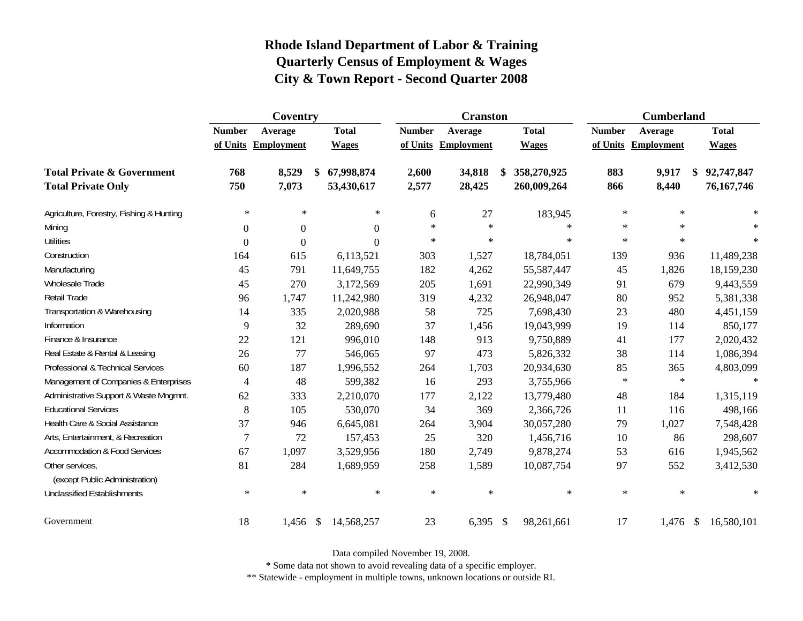|                                                   |                | Coventry            |               |              | <b>Cranston</b> |                     |              | <b>Cumberland</b> |                     |                  |
|---------------------------------------------------|----------------|---------------------|---------------|--------------|-----------------|---------------------|--------------|-------------------|---------------------|------------------|
|                                                   | <b>Number</b>  | Average             |               | <b>Total</b> | <b>Number</b>   | Average             | <b>Total</b> | <b>Number</b>     | Average             | <b>Total</b>     |
|                                                   |                | of Units Employment |               | <b>Wages</b> |                 | of Units Employment | <b>Wages</b> |                   | of Units Employment | <b>Wages</b>     |
| <b>Total Private &amp; Government</b>             | 768            | 8,529               | \$            | 67,998,874   | 2,600           | 34,818              | 358,270,925  | 883               | 9,917               | \$<br>92,747,847 |
| <b>Total Private Only</b>                         | 750            | 7,073               |               | 53,430,617   | 2,577           | 28,425              | 260,009,264  | 866               | 8,440               | 76, 167, 746     |
| Agriculture, Forestry, Fishing & Hunting          | $\ast$         | $\ast$              |               | $\ast$       | 6               | 27                  | 183,945      | $\ast$            | $\ast$              |                  |
| Mining                                            | $\Omega$       | $\Omega$            |               | $\Omega$     | $\star$         | $\ast$              | $\ast$       | $\ast$            | $\star$             | $\ast$           |
| <b>Utilities</b>                                  | $\theta$       | $\theta$            |               | $\Omega$     | $\ast$          | $\ast$              | $\ast$       | $\ast$            | $\star$             | $\ast$           |
| Construction                                      | 164            | 615                 |               | 6,113,521    | 303             | 1,527               | 18,784,051   | 139               | 936                 | 11,489,238       |
| Manufacturing                                     | 45             | 791                 |               | 11,649,755   | 182             | 4,262               | 55,587,447   | 45                | 1,826               | 18,159,230       |
| <b>Wholesale Trade</b>                            | 45             | 270                 |               | 3,172,569    | 205             | 1,691               | 22,990,349   | 91                | 679                 | 9,443,559        |
| Retail Trade                                      | 96             | 1,747               |               | 11,242,980   | 319             | 4,232               | 26,948,047   | 80                | 952                 | 5,381,338        |
| Transportation & Warehousing                      | 14             | 335                 |               | 2,020,988    | 58              | 725                 | 7,698,430    | 23                | 480                 | 4,451,159        |
| Information                                       | 9              | 32                  |               | 289,690      | 37              | 1,456               | 19,043,999   | 19                | 114                 | 850,177          |
| Finance & Insurance                               | 22             | 121                 |               | 996,010      | 148             | 913                 | 9,750,889    | 41                | 177                 | 2,020,432        |
| Real Estate & Rental & Leasing                    | 26             | 77                  |               | 546,065      | 97              | 473                 | 5,826,332    | 38                | 114                 | 1,086,394        |
| Professional & Technical Services                 | 60             | 187                 |               | 1,996,552    | 264             | 1,703               | 20,934,630   | 85                | 365                 | 4,803,099        |
| Management of Companies & Enterprises             | $\overline{4}$ | 48                  |               | 599,382      | 16              | 293                 | 3,755,966    | $\ast$            | $\ast$              | $\ast$           |
| Administrative Support & Waste Mngmnt.            | 62             | 333                 |               | 2,210,070    | 177             | 2,122               | 13,779,480   | 48                | 184                 | 1,315,119        |
| <b>Educational Services</b>                       | $8\,$          | 105                 |               | 530,070      | 34              | 369                 | 2,366,726    | 11                | 116                 | 498,166          |
| Health Care & Social Assistance                   | 37             | 946                 |               | 6,645,081    | 264             | 3,904               | 30,057,280   | 79                | 1,027               | 7,548,428        |
| Arts, Entertainment, & Recreation                 | $\overline{7}$ | 72                  |               | 157,453      | 25              | 320                 | 1,456,716    | 10                | 86                  | 298,607          |
| <b>Accommodation &amp; Food Services</b>          | 67             | 1,097               |               | 3,529,956    | 180             | 2,749               | 9,878,274    | 53                | 616                 | 1,945,562        |
| Other services,<br>(except Public Administration) | 81             | 284                 |               | 1,689,959    | 258             | 1,589               | 10,087,754   | 97                | 552                 | 3,412,530        |
| <b>Unclassified Establishments</b>                | $\ast$         | $\ast$              |               | $\ast$       | $\ast$          | $\ast$              | $\ast$       | $\ast$            | $\ast$              | $\ast$           |
| Government                                        | 18             | 1,456               | $\mathcal{S}$ | 14,568,257   | 23              | $6,395$ \$          | 98,261,661   | 17                | $1,476$ \$          | 16,580,101       |

Data compiled November 19, 2008.

\* Some data not shown to avoid revealing data of a specific employer.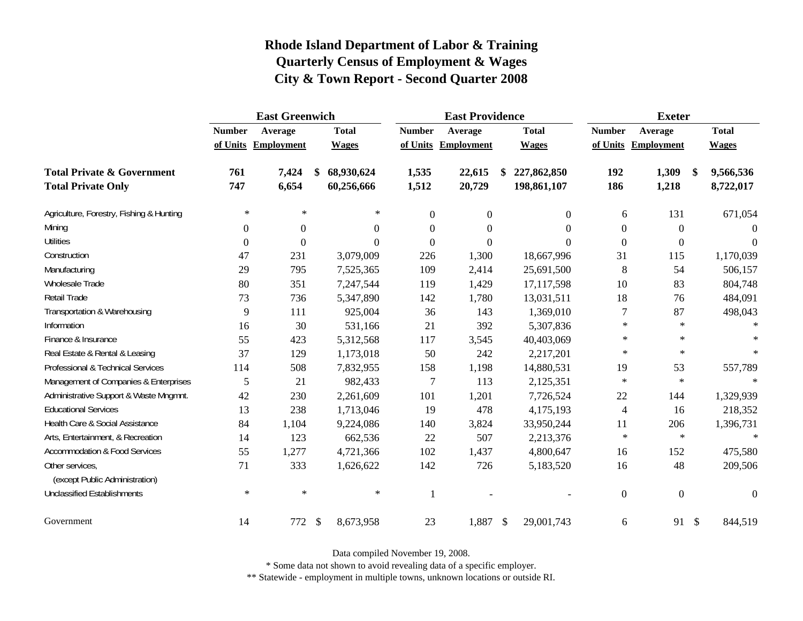|                                                   |                  | <b>East Greenwich</b> |               |              |                  | <b>East Providence</b> |               |                |                  | <b>Exeter</b>       |               |              |
|---------------------------------------------------|------------------|-----------------------|---------------|--------------|------------------|------------------------|---------------|----------------|------------------|---------------------|---------------|--------------|
|                                                   | <b>Number</b>    | Average               |               | <b>Total</b> | <b>Number</b>    | Average                |               | <b>Total</b>   | <b>Number</b>    | Average             |               | <b>Total</b> |
|                                                   |                  | of Units Employment   |               | <b>Wages</b> |                  | of Units Employment    |               | <b>Wages</b>   |                  | of Units Employment |               | <b>Wages</b> |
| <b>Total Private &amp; Government</b>             | 761              | 7,424                 | \$            | 68,930,624   | 1,535            | 22,615                 |               | 227,862,850    | 192              | 1,309               | $\mathbf{\$}$ | 9,566,536    |
| <b>Total Private Only</b>                         | 747              | 6,654                 |               | 60,256,666   | 1,512            | 20,729                 |               | 198,861,107    | 186              | 1,218               |               | 8,722,017    |
| Agriculture, Forestry, Fishing & Hunting          | $\ast$           | $\ast$                |               | ∗            | $\boldsymbol{0}$ | $\boldsymbol{0}$       |               | $\overline{0}$ | 6                | 131                 |               | 671,054      |
| Mining                                            | $\Omega$         | $\boldsymbol{0}$      |               | $\Omega$     | $\Omega$         | $\boldsymbol{0}$       |               | $\Omega$       | $\overline{0}$   | $\overline{0}$      |               | $\Omega$     |
| <b>Utilities</b>                                  | $\boldsymbol{0}$ | $\theta$              |               | $\Omega$     | $\boldsymbol{0}$ | $\boldsymbol{0}$       |               | $\Omega$       | $\boldsymbol{0}$ | $\boldsymbol{0}$    |               | $\Omega$     |
| Construction                                      | 47               | 231                   |               | 3,079,009    | 226              | 1,300                  |               | 18,667,996     | 31               | 115                 |               | 1,170,039    |
| Manufacturing                                     | 29               | 795                   |               | 7,525,365    | 109              | 2,414                  |               | 25,691,500     | $\,8\,$          | 54                  |               | 506,157      |
| Wholesale Trade                                   | 80               | 351                   |               | 7,247,544    | 119              | 1,429                  |               | 17,117,598     | 10               | 83                  |               | 804,748      |
| Retail Trade                                      | 73               | 736                   |               | 5,347,890    | 142              | 1,780                  |               | 13,031,511     | 18               | 76                  |               | 484,091      |
| Transportation & Warehousing                      | 9                | 111                   |               | 925,004      | 36               | 143                    |               | 1,369,010      | 7                | 87                  |               | 498,043      |
| Information                                       | 16               | 30                    |               | 531,166      | 21               | 392                    |               | 5,307,836      | $\ast$           | $\ast$              |               | $\ast$       |
| Finance & Insurance                               | 55               | 423                   |               | 5,312,568    | 117              | 3,545                  |               | 40,403,069     | $\ast$           | $\star$             |               | $\ast$       |
| Real Estate & Rental & Leasing                    | 37               | 129                   |               | 1,173,018    | 50               | 242                    |               | 2,217,201      | $\ast$           | $\ast$              |               | $\ast$       |
| Professional & Technical Services                 | 114              | 508                   |               | 7,832,955    | 158              | 1,198                  |               | 14,880,531     | 19               | 53                  |               | 557,789      |
| Management of Companies & Enterprises             | 5                | 21                    |               | 982,433      | 7                | 113                    |               | 2,125,351      | $\ast$           | $\ast$              |               | $\ast$       |
| Administrative Support & Waste Mngmnt.            | 42               | 230                   |               | 2,261,609    | 101              | 1,201                  |               | 7,726,524      | 22               | 144                 |               | 1,329,939    |
| <b>Educational Services</b>                       | 13               | 238                   |               | 1,713,046    | 19               | 478                    |               | 4,175,193      | $\overline{4}$   | 16                  |               | 218,352      |
| Health Care & Social Assistance                   | 84               | 1,104                 |               | 9,224,086    | 140              | 3,824                  |               | 33,950,244     | 11               | 206                 |               | 1,396,731    |
| Arts, Entertainment, & Recreation                 | 14               | 123                   |               | 662,536      | 22               | 507                    |               | 2,213,376      | $\ast$           | $\ast$              |               | $\star$      |
| <b>Accommodation &amp; Food Services</b>          | 55               | 1,277                 |               | 4,721,366    | 102              | 1,437                  |               | 4,800,647      | 16               | 152                 |               | 475,580      |
| Other services,<br>(except Public Administration) | 71               | 333                   |               | 1,626,622    | 142              | 726                    |               | 5,183,520      | 16               | 48                  |               | 209,506      |
| <b>Unclassified Establishments</b>                | $\ast$           | $\ast$                |               | $\ast$       | $\mathbf{1}$     |                        |               |                | $\overline{0}$   | $\overline{0}$      |               | $\Omega$     |
| Government                                        | 14               | 772                   | $\mathcal{S}$ | 8,673,958    | 23               | 1,887                  | $\mathcal{L}$ | 29,001,743     | 6                | 91 \$               |               | 844,519      |

Data compiled November 19, 2008.

\* Some data not shown to avoid revealing data of a specific employer.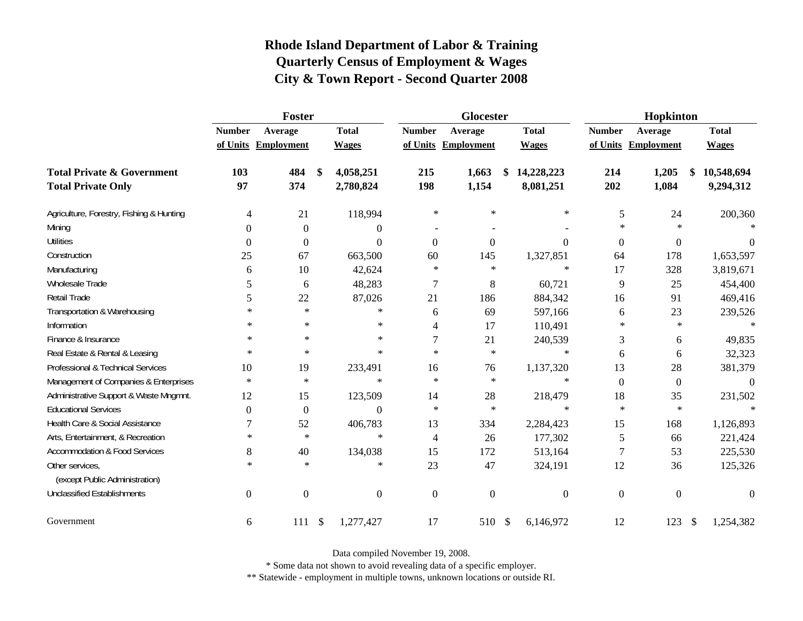|                                                   |                  | Foster              |               |                | Glocester      |                     |               |                | Hopkinton        |                     |               |              |
|---------------------------------------------------|------------------|---------------------|---------------|----------------|----------------|---------------------|---------------|----------------|------------------|---------------------|---------------|--------------|
|                                                   | <b>Number</b>    | Average             |               | <b>Total</b>   | <b>Number</b>  | Average             |               | <b>Total</b>   | <b>Number</b>    | Average             |               | <b>Total</b> |
|                                                   |                  | of Units Employment |               | <b>Wages</b>   |                | of Units Employment |               | <b>Wages</b>   |                  | of Units Employment |               | <b>Wages</b> |
| <b>Total Private &amp; Government</b>             | 103              | 484                 | \$            | 4,058,251      | 215            | 1,663               | \$            | 14,228,223     | 214              | 1,205               | \$            | 10,548,694   |
| <b>Total Private Only</b>                         | 97               | 374                 |               | 2,780,824      | 198            | 1,154               |               | 8,081,251      | 202              | 1,084               |               | 9,294,312    |
| Agriculture, Forestry, Fishing & Hunting          | 4                | 21                  |               | 118,994        | $\ast$         | $\ast$              |               | $\ast$         | 5                | 24                  |               | 200,360      |
| Mining                                            | $\Omega$         | $\overline{0}$      |               | $\overline{0}$ |                |                     |               |                | $\ast$           | $\star$             |               |              |
| <b>Utilities</b>                                  | $\boldsymbol{0}$ | $\boldsymbol{0}$    |               | $\Omega$       | $\mathbf{0}$   | $\theta$            |               | $\Omega$       | $\boldsymbol{0}$ | $\overline{0}$      |               | $\Omega$     |
| Construction                                      | 25               | 67                  |               | 663,500        | 60             | 145                 |               | 1,327,851      | 64               | 178                 |               | 1,653,597    |
| Manufacturing                                     | 6                | 10                  |               | 42,624         | $\ast$         | $\ast$              |               | $\ast$         | 17               | 328                 |               | 3,819,671    |
| Wholesale Trade                                   | 5                | 6                   |               | 48,283         | 7              | 8                   |               | 60,721         | 9                | 25                  |               | 454,400      |
| Retail Trade                                      | 5                | 22                  |               | 87,026         | 21             | 186                 |               | 884,342        | 16               | 91                  |               | 469,416      |
| Transportation & Warehousing                      | $\ast$           | $\ast$              |               | $\ast$         | 6              | 69                  |               | 597,166        | 6                | 23                  |               | 239,526      |
| Information                                       | ∗                | $\ast$              |               | $\ast$         | 4              | 17                  |               | 110,491        | $\ast$           | $\ast$              |               | $\ast$       |
| Finance & Insurance                               | $\ast$           | $\ast$              |               | $\ast$         | 7              | 21                  |               | 240,539        | 3                | 6                   |               | 49,835       |
| Real Estate & Rental & Leasing                    | $\ast$           | $\ast$              |               | $\ast$         | $\star$        | $\ast$              |               | $\ast$         | 6                | 6                   |               | 32,323       |
| Professional & Technical Services                 | 10               | 19                  |               | 233,491        | 16             | 76                  |               | 1,137,320      | 13               | 28                  |               | 381,379      |
| Management of Companies & Enterprises             | $\star$          | $\ast$              |               | $\ast$         | $\star$        | $\ast$              |               | $\ast$         | $\boldsymbol{0}$ | $\boldsymbol{0}$    |               | $\theta$     |
| Administrative Support & Waste Mngmnt.            | 12               | 15                  |               | 123,509        | 14             | 28                  |               | 218,479        | 18               | 35                  |               | 231,502      |
| <b>Educational Services</b>                       | $\Omega$         | $\boldsymbol{0}$    |               | $\Omega$       | $\ast$         | $\ast$              |               | $\ast$         | $\ast$           | $\ast$              |               |              |
| Health Care & Social Assistance                   | 7                | 52                  |               | 406,783        | 13             | 334                 |               | 2,284,423      | 15               | 168                 |               | 1,126,893    |
| Arts, Entertainment, & Recreation                 | $\ast$           | $\ast$              |               | $\ast$         | $\overline{4}$ | 26                  |               | 177,302        | 5                | 66                  |               | 221,424      |
| <b>Accommodation &amp; Food Services</b>          | 8                | 40                  |               | 134,038        | 15             | 172                 |               | 513,164        | $\boldsymbol{7}$ | 53                  |               | 225,530      |
| Other services,<br>(except Public Administration) | $\ast$           | $\ast$              |               | $\ast$         | 23             | 47                  |               | 324,191        | 12               | 36                  |               | 125,326      |
| <b>Unclassified Establishments</b>                | $\mathbf{0}$     | $\boldsymbol{0}$    |               | $\Omega$       | $\overline{0}$ | $\overline{0}$      |               | $\overline{0}$ | $\boldsymbol{0}$ | $\mathbf{0}$        |               | $\Omega$     |
| Government                                        | 6                | 111                 | $\mathcal{S}$ | 1,277,427      | 17             | 510                 | $\mathcal{S}$ | 6,146,972      | 12               | 123                 | $\mathcal{S}$ | 1,254,382    |

Data compiled November 19, 2008.

\* Some data not shown to avoid revealing data of a specific employer.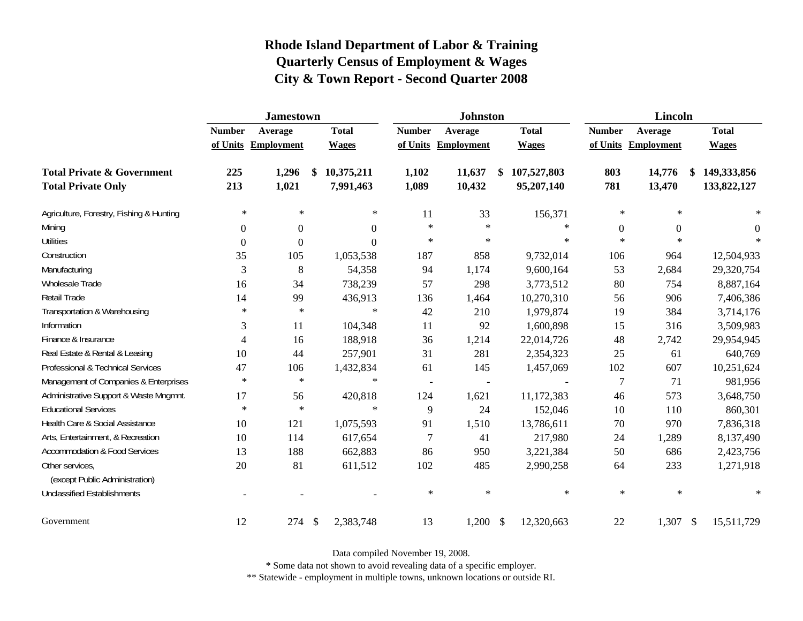|                                          |                  | <b>Jamestown</b>    |                                        |                          | <b>Johnston</b>          |                   |               | <b>Lincoln</b>      |                             |
|------------------------------------------|------------------|---------------------|----------------------------------------|--------------------------|--------------------------|-------------------|---------------|---------------------|-----------------------------|
|                                          | <b>Number</b>    | Average             | <b>Total</b>                           | <b>Number</b>            | Average                  | <b>Total</b>      | <b>Number</b> | Average             | <b>Total</b>                |
|                                          |                  | of Units Employment | <b>Wages</b>                           |                          | of Units Employment      | <b>Wages</b>      |               | of Units Employment | <b>Wages</b>                |
| <b>Total Private &amp; Government</b>    | 225              | 1,296               | 10,375,211<br>\$                       | 1,102                    | 11,637                   | \$<br>107,527,803 | 803           | 14,776              | \$<br>149,333,856           |
| <b>Total Private Only</b>                | 213              | 1,021               | 7,991,463                              | 1,089                    | 10,432                   | 95,207,140        | 781           | 13,470              | 133,822,127                 |
| Agriculture, Forestry, Fishing & Hunting | $\ast$           | $\ast$              | $\ast$                                 | 11                       | 33                       | 156,371           | $\ast$        | $\ast$              | $\ast$                      |
| Mining                                   | $\Omega$         | $\boldsymbol{0}$    | $\overline{0}$                         | $\ast$                   | $\ast$                   | $\ast$            | $\mathbf{0}$  | $\boldsymbol{0}$    | $\theta$                    |
| <b>Utilities</b>                         | $\boldsymbol{0}$ | $\boldsymbol{0}$    | $\boldsymbol{0}$                       | $\ast$                   | $\ast$                   | $\ast$            | $\ast$        | $\ast$              |                             |
| Construction                             | 35               | 105                 | 1,053,538                              | 187                      | 858                      | 9,732,014         | 106           | 964                 | 12,504,933                  |
| Manufacturing                            | 3                | 8                   | 54,358                                 | 94                       | 1,174                    | 9,600,164         | 53            | 2,684               | 29,320,754                  |
| Wholesale Trade                          | 16               | 34                  | 738,239                                | 57                       | 298                      | 3,773,512         | 80            | 754                 | 8,887,164                   |
| Retail Trade                             | 14               | 99                  | 436,913                                | 136                      | 1,464                    | 10,270,310        | 56            | 906                 | 7,406,386                   |
| Transportation & Warehousing             | $\ast$           | $\ast$              | $\ast$                                 | 42                       | 210                      | 1,979,874         | 19            | 384                 | 3,714,176                   |
| Information                              | 3                | 11                  | 104,348                                | 11                       | 92                       | 1,600,898         | 15            | 316                 | 3,509,983                   |
| Finance & Insurance                      | 4                | 16                  | 188,918                                | 36                       | 1,214                    | 22,014,726        | 48            | 2,742               | 29,954,945                  |
| Real Estate & Rental & Leasing           | 10               | 44                  | 257,901                                | 31                       | 281                      | 2,354,323         | 25            | 61                  | 640,769                     |
| Professional & Technical Services        | 47               | 106                 | 1,432,834                              | 61                       | 145                      | 1,457,069         | 102           | 607                 | 10,251,624                  |
| Management of Companies & Enterprises    | $\ast$           | $\ast$              | $\ast$                                 | $\overline{\phantom{a}}$ | $\overline{\phantom{a}}$ |                   | $\tau$        | 71                  | 981,956                     |
| Administrative Support & Waste Mngmnt.   | 17               | 56                  | 420,818                                | 124                      | 1,621                    | 11,172,383        | 46            | 573                 | 3,648,750                   |
| <b>Educational Services</b>              | $\ast$           | $\ast$              | $\ast$                                 | 9                        | 24                       | 152,046           | 10            | 110                 | 860,301                     |
| Health Care & Social Assistance          | 10               | 121                 | 1,075,593                              | 91                       | 1,510                    | 13,786,611        | $70\,$        | 970                 | 7,836,318                   |
| Arts, Entertainment, & Recreation        | 10               | 114                 | 617,654                                | $\overline{7}$           | 41                       | 217,980           | 24            | 1,289               | 8,137,490                   |
| <b>Accommodation &amp; Food Services</b> | 13               | 188                 | 662,883                                | 86                       | 950                      | 3,221,384         | 50            | 686                 | 2,423,756                   |
| Other services,                          | 20               | 81                  | 611,512                                | 102                      | 485                      | 2,990,258         | 64            | 233                 | 1,271,918                   |
| (except Public Administration)           |                  |                     |                                        | $\ast$                   | $\ast$                   | $\ast$            | $\ast$        | $\ast$              | $\ast$                      |
| <b>Unclassified Establishments</b>       |                  |                     |                                        |                          |                          |                   |               |                     |                             |
| Government                               | 12               | 274                 | $\boldsymbol{\mathsf{S}}$<br>2,383,748 | 13                       | $1,200$ \$               | 12,320,663        | 22            | 1,307               | $\mathcal{L}$<br>15,511,729 |

Data compiled November 19, 2008.

\* Some data not shown to avoid revealing data of a specific employer.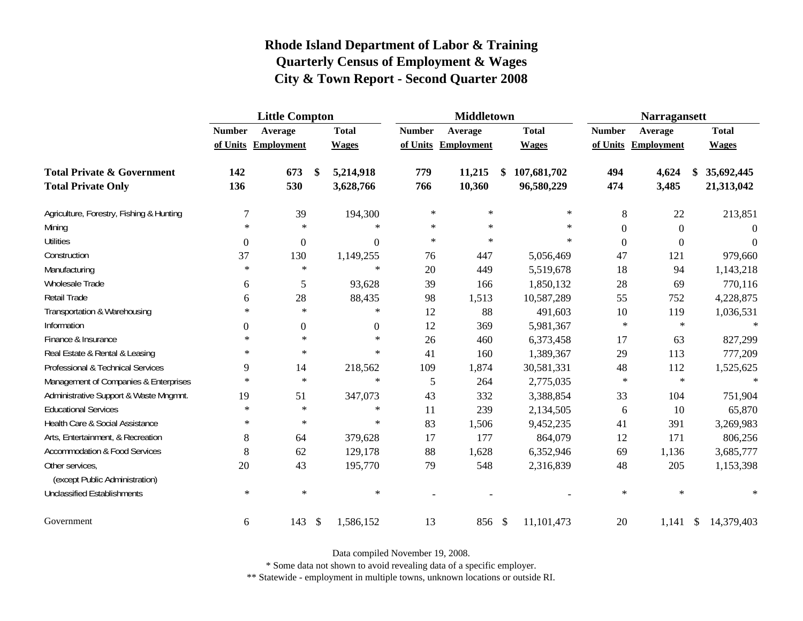|                                                   | <b>Little Compton</b> |                     |                           |                  |               | <b>Middletown</b>   |              |                | <b>Narragansett</b> |               |              |
|---------------------------------------------------|-----------------------|---------------------|---------------------------|------------------|---------------|---------------------|--------------|----------------|---------------------|---------------|--------------|
|                                                   | <b>Number</b>         | Average             |                           | <b>Total</b>     | <b>Number</b> | Average             | <b>Total</b> | <b>Number</b>  | Average             |               | <b>Total</b> |
|                                                   |                       | of Units Employment |                           | <b>Wages</b>     |               | of Units Employment | <b>Wages</b> |                | of Units Employment |               | <b>Wages</b> |
| <b>Total Private &amp; Government</b>             | 142                   | 673                 | \$                        | 5,214,918        | 779           | 11,215              | 107,681,702  | 494            | 4,624               |               | 35,692,445   |
| <b>Total Private Only</b>                         | 136                   | 530                 |                           | 3,628,766        | 766           | 10,360              | 96,580,229   | 474            | 3,485               |               | 21,313,042   |
| Agriculture, Forestry, Fishing & Hunting          | $\overline{7}$        | 39                  |                           | 194,300          | $\ast$        | $\ast$              | ∗            | 8              | 22                  |               | 213,851      |
| Mining                                            | $\ast$                | $\ast$              |                           | $\ast$           | $\ast$        | $\ast$              | $\ast$       | $\Omega$       | $\boldsymbol{0}$    |               | $\Omega$     |
| <b>Utilities</b>                                  | $\boldsymbol{0}$      | $\boldsymbol{0}$    |                           | $\boldsymbol{0}$ | $\ast$        | $\ast$              | $\ast$       | $\overline{0}$ | $\boldsymbol{0}$    |               | $\theta$     |
| Construction                                      | 37                    | 130                 |                           | 1,149,255        | 76            | 447                 | 5,056,469    | 47             | 121                 |               | 979,660      |
| Manufacturing                                     | $\ast$                | $\ast$              |                           | $\ast$           | 20            | 449                 | 5,519,678    | 18             | 94                  |               | 1,143,218    |
| Wholesale Trade                                   | 6                     | 5                   |                           | 93,628           | 39            | 166                 | 1,850,132    | 28             | 69                  |               | 770,116      |
| Retail Trade                                      | 6                     | 28                  |                           | 88,435           | 98            | 1,513               | 10,587,289   | 55             | 752                 |               | 4,228,875    |
| Transportation & Warehousing                      | $\ast$                | $\ast$              |                           | $\ast$           | 12            | 88                  | 491,603      | 10             | 119                 |               | 1,036,531    |
| Information                                       | $\Omega$              | $\boldsymbol{0}$    |                           | $\overline{0}$   | 12            | 369                 | 5,981,367    | $\ast$         | $\ast$              |               | $\ast$       |
| Finance & Insurance                               | $\ast$                | $\ast$              |                           | $\ast$           | 26            | 460                 | 6,373,458    | 17             | 63                  |               | 827,299      |
| Real Estate & Rental & Leasing                    | $\ast$                | $\ast$              |                           | $\ast$           | 41            | 160                 | 1,389,367    | 29             | 113                 |               | 777,209      |
| Professional & Technical Services                 | 9                     | 14                  |                           | 218,562          | 109           | 1,874               | 30,581,331   | 48             | 112                 |               | 1,525,625    |
| Management of Companies & Enterprises             | $\ast$                | $\ast$              |                           | $\ast$           | 5             | 264                 | 2,775,035    | $\ast$         | $\ast$              |               | $\ast$       |
| Administrative Support & Waste Mngmnt.            | 19                    | 51                  |                           | 347,073          | 43            | 332                 | 3,388,854    | 33             | 104                 |               | 751,904      |
| <b>Educational Services</b>                       | $\ast$                | $\ast$              |                           | $\ast$           | 11            | 239                 | 2,134,505    | 6              | 10                  |               | 65,870       |
| Health Care & Social Assistance                   | $\ast$                | $\ast$              |                           | $\ast$           | 83            | 1,506               | 9,452,235    | 41             | 391                 |               | 3,269,983    |
| Arts, Entertainment, & Recreation                 | 8                     | 64                  |                           | 379,628          | 17            | 177                 | 864,079      | 12             | 171                 |               | 806,256      |
| <b>Accommodation &amp; Food Services</b>          | 8                     | 62                  |                           | 129,178          | 88            | 1,628               | 6,352,946    | 69             | 1,136               |               | 3,685,777    |
| Other services,<br>(except Public Administration) | 20                    | 43                  |                           | 195,770          | 79            | 548                 | 2,316,839    | 48             | 205                 |               | 1,153,398    |
| <b>Unclassified Establishments</b>                | $\ast$                | $\ast$              |                           | $\ast$           |               |                     |              | $\ast$         | $\ast$              |               | $\ast$       |
| Government                                        | 6                     | 143                 | $\boldsymbol{\mathsf{S}}$ | 1,586,152        | 13            | 856 \$              | 11,101,473   | 20             | 1,141               | $\mathcal{S}$ | 14,379,403   |

Data compiled November 19, 2008.

\* Some data not shown to avoid revealing data of a specific employer.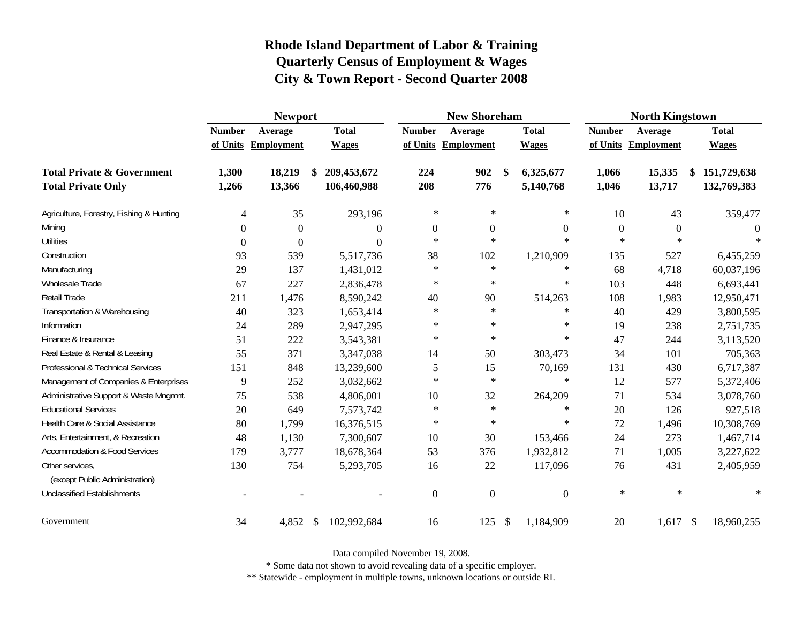|                                                   | <b>Newport</b> |                     |               |                |                | <b>New Shoreham</b> |                           |                |                  | <b>North Kingstown</b> |                   |
|---------------------------------------------------|----------------|---------------------|---------------|----------------|----------------|---------------------|---------------------------|----------------|------------------|------------------------|-------------------|
|                                                   | <b>Number</b>  | Average             |               | <b>Total</b>   | <b>Number</b>  | Average             |                           | <b>Total</b>   | <b>Number</b>    | Average                | <b>Total</b>      |
|                                                   |                | of Units Employment |               | <b>Wages</b>   |                | of Units Employment |                           | <b>Wages</b>   | of Units         | <b>Employment</b>      | <b>Wages</b>      |
| <b>Total Private &amp; Government</b>             | 1,300          | 18,219              | \$            | 209,453,672    | 224            | 902                 | \$                        | 6,325,677      | 1,066            | 15,335                 | \$<br>151,729,638 |
| <b>Total Private Only</b>                         | 1,266          | 13,366              |               | 106,460,988    | 208            | 776                 |                           | 5,140,768      | 1,046            | 13,717                 | 132,769,383       |
| Agriculture, Forestry, Fishing & Hunting          | 4              | 35                  |               | 293,196        | $\ast$         | $\ast$              |                           | $\ast$         | 10               | 43                     | 359,477           |
| Mining                                            | $\Omega$       | $\Omega$            |               | 0              | $\overline{0}$ | $\boldsymbol{0}$    |                           | $\mathbf{0}$   | $\boldsymbol{0}$ | $\theta$               | $\theta$          |
| <b>Utilities</b>                                  | $\Omega$       | $\Omega$            |               | $\overline{0}$ | $\ast$         | $\ast$              |                           | $*$            | $\ast$           | $\ast$                 | $\star$           |
| Construction                                      | 93             | 539                 |               | 5,517,736      | 38             | 102                 |                           | 1,210,909      | 135              | 527                    | 6,455,259         |
| Manufacturing                                     | 29             | 137                 |               | 1,431,012      | $\ast$         | $\ast$              |                           | $\ast$         | 68               | 4,718                  | 60,037,196        |
| Wholesale Trade                                   | 67             | 227                 |               | 2,836,478      | $\ast$         | $\ast$              |                           | $\ast$         | 103              | 448                    | 6,693,441         |
| Retail Trade                                      | 211            | 1,476               |               | 8,590,242      | 40             | 90                  |                           | 514,263        | 108              | 1,983                  | 12,950,471        |
| Transportation & Warehousing                      | 40             | 323                 |               | 1,653,414      | $\ast$         | $\ast$              |                           | $\ast$         | 40               | 429                    | 3,800,595         |
| Information                                       | 24             | 289                 |               | 2,947,295      | $\ast$         | $\ast$              |                           | $\ast$         | 19               | 238                    | 2,751,735         |
| Finance & Insurance                               | 51             | 222                 |               | 3,543,381      | $\ast$         | $\ast$              |                           | $\ast$         | 47               | 244                    | 3,113,520         |
| Real Estate & Rental & Leasing                    | 55             | 371                 |               | 3,347,038      | 14             | 50                  |                           | 303,473        | 34               | 101                    | 705,363           |
| Professional & Technical Services                 | 151            | 848                 |               | 13,239,600     | 5              | 15                  |                           | 70,169         | 131              | 430                    | 6,717,387         |
| Management of Companies & Enterprises             | 9              | 252                 |               | 3,032,662      | $\star$        | $\ast$              |                           | $\ast$         | 12               | 577                    | 5,372,406         |
| Administrative Support & Waste Mngmnt.            | 75             | 538                 |               | 4,806,001      | 10             | 32                  |                           | 264,209        | 71               | 534                    | 3,078,760         |
| <b>Educational Services</b>                       | 20             | 649                 |               | 7,573,742      | $\ast$         | $\ast$              |                           | $\ast$         | 20               | 126                    | 927,518           |
| Health Care & Social Assistance                   | 80             | 1,799               |               | 16,376,515     | $\ast$         | $\ast$              |                           | $\ast$         | 72               | 1,496                  | 10,308,769        |
| Arts, Entertainment, & Recreation                 | 48             | 1,130               |               | 7,300,607      | 10             | 30                  |                           | 153,466        | 24               | 273                    | 1,467,714         |
| <b>Accommodation &amp; Food Services</b>          | 179            | 3,777               |               | 18,678,364     | 53             | 376                 |                           | 1,932,812      | 71               | 1,005                  | 3,227,622         |
| Other services,<br>(except Public Administration) | 130            | 754                 |               | 5,293,705      | 16             | 22                  |                           | 117,096        | 76               | 431                    | 2,405,959         |
| <b>Unclassified Establishments</b>                |                |                     |               |                | $\theta$       | $\boldsymbol{0}$    |                           | $\overline{0}$ | $\ast$           | $\ast$                 | $\ast$            |
| Government                                        | 34             | 4,852               | $\mathcal{S}$ | 102,992,684    | 16             | 125                 | $\boldsymbol{\mathsf{S}}$ | 1,184,909      | 20               | $1,617$ \$             | 18,960,255        |

Data compiled November 19, 2008.

\* Some data not shown to avoid revealing data of a specific employer.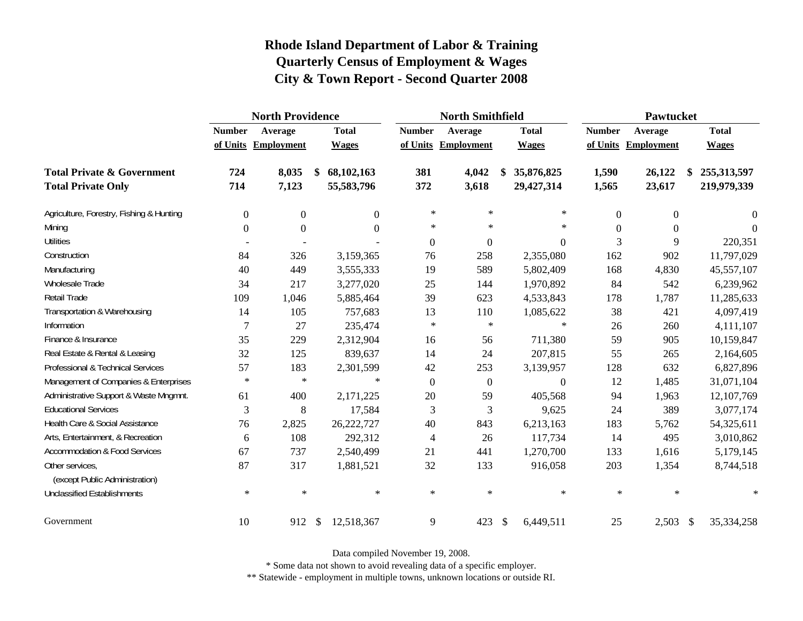|                                                   |                  | <b>North Providence</b> |                  |                  | <b>North Smithfield</b> |               |              |                | Pawtucket        |                   |
|---------------------------------------------------|------------------|-------------------------|------------------|------------------|-------------------------|---------------|--------------|----------------|------------------|-------------------|
|                                                   | <b>Number</b>    | Average                 | <b>Total</b>     | <b>Number</b>    | Average                 |               | <b>Total</b> | <b>Number</b>  | Average          | <b>Total</b>      |
|                                                   |                  | of Units Employment     | <b>Wages</b>     |                  | of Units Employment     |               | <b>Wages</b> | of Units       | Employment       | <b>Wages</b>      |
| <b>Total Private &amp; Government</b>             | 724              | 8,035                   | \$<br>68,102,163 | 381              | 4,042                   | S             | 35,876,825   | 1,590          | 26,122           | \$<br>255,313,597 |
| <b>Total Private Only</b>                         | 714              | 7,123                   | 55,583,796       | 372              | 3,618                   |               | 29,427,314   | 1,565          | 23,617           | 219,979,339       |
| Agriculture, Forestry, Fishing & Hunting          | $\boldsymbol{0}$ | $\boldsymbol{0}$        | $\boldsymbol{0}$ | $\ast$           | $\ast$                  |               | $\ast$       | $\overline{0}$ | $\boldsymbol{0}$ | $\theta$          |
| Mining                                            | $\Omega$         | $\overline{0}$          | $\Omega$         | $\ast$           | $\ast$                  |               | $\ast$       | $\Omega$       | $\theta$         | 0                 |
| <b>Utilities</b>                                  |                  |                         |                  | $\boldsymbol{0}$ | $\boldsymbol{0}$        |               | 0            | 3              | 9                | 220,351           |
| Construction                                      | 84               | 326                     | 3,159,365        | 76               | 258                     |               | 2,355,080    | 162            | 902              | 11,797,029        |
| Manufacturing                                     | 40               | 449                     | 3,555,333        | 19               | 589                     |               | 5,802,409    | 168            | 4,830            | 45,557,107        |
| Wholesale Trade                                   | 34               | 217                     | 3,277,020        | 25               | 144                     |               | 1,970,892    | 84             | 542              | 6,239,962         |
| Retail Trade                                      | 109              | 1,046                   | 5,885,464        | 39               | 623                     |               | 4,533,843    | 178            | 1,787            | 11,285,633        |
| Transportation & Warehousing                      | 14               | 105                     | 757,683          | 13               | 110                     |               | 1,085,622    | 38             | 421              | 4,097,419         |
| Information                                       | 7                | 27                      | 235,474          | $\ast$           | $\ast$                  |               | $\ast$       | 26             | 260              | 4,111,107         |
| Finance & Insurance                               | 35               | 229                     | 2,312,904        | 16               | 56                      |               | 711,380      | 59             | 905              | 10,159,847        |
| Real Estate & Rental & Leasing                    | 32               | 125                     | 839,637          | 14               | 24                      |               | 207,815      | 55             | 265              | 2,164,605         |
| Professional & Technical Services                 | 57               | 183                     | 2,301,599        | 42               | 253                     |               | 3,139,957    | 128            | 632              | 6,827,896         |
| Management of Companies & Enterprises             | $\ast$           | $\ast$                  | $\ast$           | $\overline{0}$   | $\boldsymbol{0}$        |               | $\Omega$     | 12             | 1,485            | 31,071,104        |
| Administrative Support & Waste Mngmnt.            | 61               | 400                     | 2,171,225        | 20               | 59                      |               | 405,568      | 94             | 1,963            | 12,107,769        |
| <b>Educational Services</b>                       | 3                | 8                       | 17,584           | 3                | 3                       |               | 9,625        | 24             | 389              | 3,077,174         |
| Health Care & Social Assistance                   | 76               | 2,825                   | 26,222,727       | 40               | 843                     |               | 6,213,163    | 183            | 5,762            | 54,325,611        |
| Arts, Entertainment, & Recreation                 | 6                | 108                     | 292,312          | 4                | 26                      |               | 117,734      | 14             | 495              | 3,010,862         |
| <b>Accommodation &amp; Food Services</b>          | 67               | 737                     | 2,540,499        | 21               | 441                     |               | 1,270,700    | 133            | 1,616            | 5,179,145         |
| Other services,<br>(except Public Administration) | 87               | 317                     | 1,881,521        | 32               | 133                     |               | 916,058      | 203            | 1,354            | 8,744,518         |
| <b>Unclassified Establishments</b>                | $\ast$           | $\ast$                  | $\ast$           | $\ast$           | $\ast$                  |               | $\ast$       | $\ast$         | $\ast$           | $\ast$            |
| Government                                        | 10               | 912                     | \$<br>12,518,367 | 9                | 423                     | $\frac{1}{2}$ | 6,449,511    | 25             | $2,503$ \$       | 35,334,258        |

Data compiled November 19, 2008.

\* Some data not shown to avoid revealing data of a specific employer.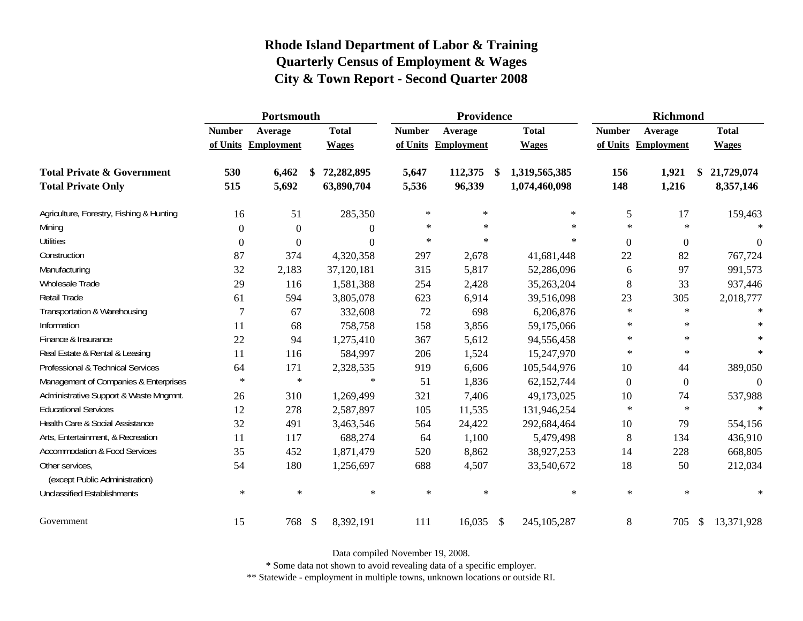|                                                   |                | Portsmouth          |                         |                  | Providence    |                     |      |               | <b>Richmond</b>  |                     |               |                  |
|---------------------------------------------------|----------------|---------------------|-------------------------|------------------|---------------|---------------------|------|---------------|------------------|---------------------|---------------|------------------|
|                                                   | <b>Number</b>  | Average             |                         | <b>Total</b>     | <b>Number</b> | Average             |      | <b>Total</b>  | <b>Number</b>    | Average             |               | <b>Total</b>     |
|                                                   |                | of Units Employment |                         | <b>Wages</b>     |               | of Units Employment |      | <b>Wages</b>  |                  | of Units Employment |               | <b>Wages</b>     |
| <b>Total Private &amp; Government</b>             | 530            | 6,462               | \$                      | 72,282,895       | 5,647         | 112,375             | \$   | 1,319,565,385 | 156              | 1,921               |               | 21,729,074       |
| <b>Total Private Only</b>                         | 515            | 5,692               |                         | 63,890,704       | 5,536         | 96,339              |      | 1,074,460,098 | 148              | 1,216               |               | 8,357,146        |
| Agriculture, Forestry, Fishing & Hunting          | 16             | 51                  |                         | 285,350          | $\ast$        | $\ast$              |      | $\ast$        | 5                | 17                  |               | 159,463          |
| Mining                                            | $\Omega$       | $\theta$            |                         | $\overline{0}$   | $\ast$        | $\ast$              |      | $\ast$        | $\ast$           | $\star$             |               | $\ast$           |
| <b>Utilities</b>                                  | $\overline{0}$ | $\theta$            |                         | $\boldsymbol{0}$ | $\ast$        | $\ast$              |      | $\ast$        | $\boldsymbol{0}$ | $\theta$            |               | $\boldsymbol{0}$ |
| Construction                                      | 87             | 374                 |                         | 4,320,358        | 297           | 2,678               |      | 41,681,448    | 22               | 82                  |               | 767,724          |
| Manufacturing                                     | 32             | 2,183               |                         | 37,120,181       | 315           | 5,817               |      | 52,286,096    | 6                | 97                  |               | 991,573          |
| Wholesale Trade                                   | 29             | 116                 |                         | 1,581,388        | 254           | 2,428               |      | 35,263,204    | 8                | 33                  |               | 937,446          |
| Retail Trade                                      | 61             | 594                 |                         | 3,805,078        | 623           | 6,914               |      | 39,516,098    | 23               | 305                 |               | 2,018,777        |
| Transportation & Warehousing                      | 7              | 67                  |                         | 332,608          | 72            | 698                 |      | 6,206,876     | $\ast$           | $\star$             |               | $\ast$           |
| Information                                       | 11             | 68                  |                         | 758,758          | 158           | 3,856               |      | 59,175,066    | $\ast$           | $\ast$              |               |                  |
| Finance & Insurance                               | 22             | 94                  |                         | 1,275,410        | 367           | 5,612               |      | 94,556,458    | $\ast$           | $\star$             |               | $\ast$           |
| Real Estate & Rental & Leasing                    | 11             | 116                 |                         | 584,997          | 206           | 1,524               |      | 15,247,970    | $\ast$           | $\ast$              |               | $\ast$           |
| Professional & Technical Services                 | 64             | 171                 |                         | 2,328,535        | 919           | 6,606               |      | 105,544,976   | 10               | 44                  |               | 389,050          |
| Management of Companies & Enterprises             | $\ast$         | $\ast$              |                         | $\ast$           | 51            | 1,836               |      | 62,152,744    | $\Omega$         | $\overline{0}$      |               | $\Omega$         |
| Administrative Support & Waste Mngmnt.            | 26             | 310                 |                         | 1,269,499        | 321           | 7,406               |      | 49,173,025    | 10               | 74                  |               | 537,988          |
| <b>Educational Services</b>                       | 12             | 278                 |                         | 2,587,897        | 105           | 11,535              |      | 131,946,254   | $\ast$           | $\star$             |               | $\ast$           |
| Health Care & Social Assistance                   | 32             | 491                 |                         | 3,463,546        | 564           | 24,422              |      | 292,684,464   | 10               | 79                  |               | 554,156          |
| Arts, Entertainment, & Recreation                 | 11             | 117                 |                         | 688,274          | 64            | 1,100               |      | 5,479,498     | 8                | 134                 |               | 436,910          |
| <b>Accommodation &amp; Food Services</b>          | 35             | 452                 |                         | 1,871,479        | 520           | 8,862               |      | 38,927,253    | 14               | 228                 |               | 668,805          |
| Other services,<br>(except Public Administration) | 54             | 180                 |                         | 1,256,697        | 688           | 4,507               |      | 33,540,672    | 18               | 50                  |               | 212,034          |
| <b>Unclassified Establishments</b>                | $\ast$         | $\ast$              |                         | $\ast$           | $\ast$        | $\ast$              |      | $\ast$        | $\ast$           | $\ast$              |               | $\ast$           |
| Government                                        | 15             | 768                 | $\sqrt[6]{\frac{1}{2}}$ | 8,392,191        | 111           | 16,035              | - \$ | 245, 105, 287 | 8                | 705                 | $\mathcal{S}$ | 13,371,928       |

Data compiled November 19, 2008.

\* Some data not shown to avoid revealing data of a specific employer.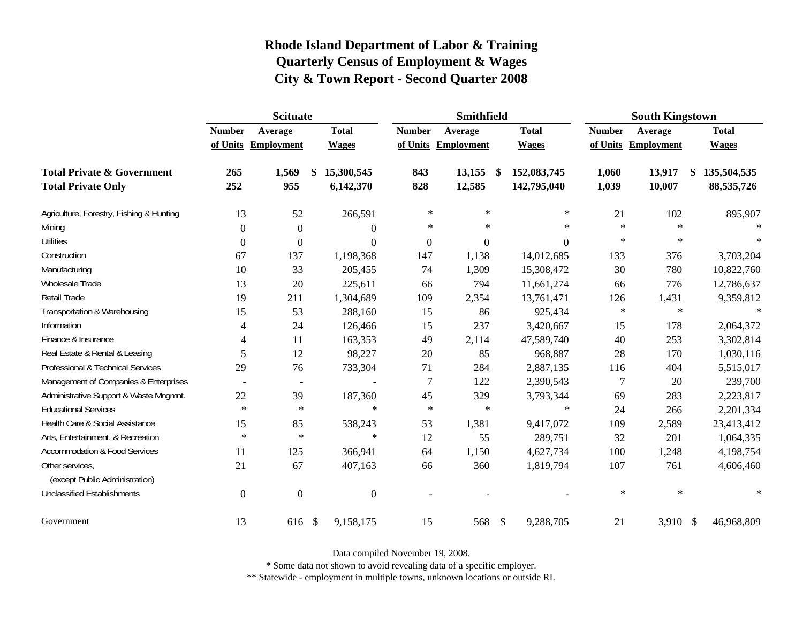|                                                   | <b>Scituate</b> |                          |                           |                  |                  | <b>Smithfield</b>   |                   |               | <b>South Kingstown</b> |                   |
|---------------------------------------------------|-----------------|--------------------------|---------------------------|------------------|------------------|---------------------|-------------------|---------------|------------------------|-------------------|
|                                                   | <b>Number</b>   | Average                  | <b>Total</b>              |                  | <b>Number</b>    | Average             | <b>Total</b>      | <b>Number</b> | Average                | <b>Total</b>      |
|                                                   |                 | of Units Employment      | <b>Wages</b>              |                  |                  | of Units Employment | <b>Wages</b>      | of Units      | <b>Employment</b>      | <b>Wages</b>      |
| <b>Total Private &amp; Government</b>             | 265             | 1,569                    | 15,300,545<br>\$          |                  | 843              | 13,155              | \$<br>152,083,745 | 1,060         | 13,917                 | \$<br>135,504,535 |
| <b>Total Private Only</b>                         | 252             | 955                      | 6,142,370                 |                  | 828              | 12,585              | 142,795,040       | 1,039         | 10,007                 | 88,535,726        |
| Agriculture, Forestry, Fishing & Hunting          | 13              | 52                       |                           | 266,591          | $\ast$           | $\ast$              | $\ast$            | 21            | 102                    | 895,907           |
| Mining                                            | $\Omega$        | $\theta$                 |                           | $\overline{0}$   | $\ast$           | $\ast$              | $\ast$            | $\ast$        | $\ast$                 | $\star$           |
| <b>Utilities</b>                                  | $\Omega$        | $\theta$                 |                           | $\overline{0}$   | $\boldsymbol{0}$ | 0                   | $\overline{0}$    | $\ast$        | $\ast$                 | $\ast$            |
| Construction                                      | 67              | 137                      |                           | 1,198,368        | 147              | 1,138               | 14,012,685        | 133           | 376                    | 3,703,204         |
| Manufacturing                                     | 10              | 33                       |                           | 205,455          | 74               | 1,309               | 15,308,472        | 30            | 780                    | 10,822,760        |
| Wholesale Trade                                   | 13              | 20                       |                           | 225,611          | 66               | 794                 | 11,661,274        | 66            | 776                    | 12,786,637        |
| Retail Trade                                      | 19              | 211                      |                           | 1,304,689        | 109              | 2,354               | 13,761,471        | 126           | 1,431                  | 9,359,812         |
| Transportation & Warehousing                      | 15              | 53                       |                           | 288,160          | 15               | 86                  | 925,434           | $\ast$        | $\ast$                 | $\ast$            |
| Information                                       | 4               | 24                       |                           | 126,466          | 15               | 237                 | 3,420,667         | 15            | 178                    | 2,064,372         |
| Finance & Insurance                               | 4               | 11                       |                           | 163,353          | 49               | 2,114               | 47,589,740        | 40            | 253                    | 3,302,814         |
| Real Estate & Rental & Leasing                    | 5               | 12                       |                           | 98,227           | 20               | 85                  | 968,887           | 28            | 170                    | 1,030,116         |
| Professional & Technical Services                 | 29              | 76                       |                           | 733,304          | 71               | 284                 | 2,887,135         | 116           | 404                    | 5,515,017         |
| Management of Companies & Enterprises             | $\sim$          | $\overline{\phantom{a}}$ |                           |                  | $\overline{7}$   | 122                 | 2,390,543         | 7             | 20                     | 239,700           |
| Administrative Support & Waste Mngmnt.            | 22              | 39                       |                           | 187,360          | 45               | 329                 | 3,793,344         | 69            | 283                    | 2,223,817         |
| <b>Educational Services</b>                       | $\ast$          | $\ast$                   |                           | $\ast$           | $\ast$           | $\ast$              | $\ast$            | 24            | 266                    | 2,201,334         |
| Health Care & Social Assistance                   | 15              | 85                       |                           | 538,243          | 53               | 1,381               | 9,417,072         | 109           | 2,589                  | 23,413,412        |
| Arts, Entertainment, & Recreation                 | $\ast$          | $\ast$                   |                           | $\ast$           | 12               | 55                  | 289,751           | 32            | 201                    | 1,064,335         |
| <b>Accommodation &amp; Food Services</b>          | 11              | 125                      |                           | 366,941          | 64               | 1,150               | 4,627,734         | 100           | 1,248                  | 4,198,754         |
| Other services,<br>(except Public Administration) | 21              | 67                       |                           | 407,163          | 66               | 360                 | 1,819,794         | 107           | 761                    | 4,606,460         |
| <b>Unclassified Establishments</b>                | $\Omega$        | $\Omega$                 |                           | $\boldsymbol{0}$ |                  |                     |                   | $\ast$        | $\ast$                 |                   |
| Government                                        | 13              | 616                      | $\boldsymbol{\mathsf{S}}$ | 9,158,175        | 15               | 568                 | \$<br>9,288,705   | 21            | 3,910 \$               | 46,968,809        |

Data compiled November 19, 2008.

\* Some data not shown to avoid revealing data of a specific employer.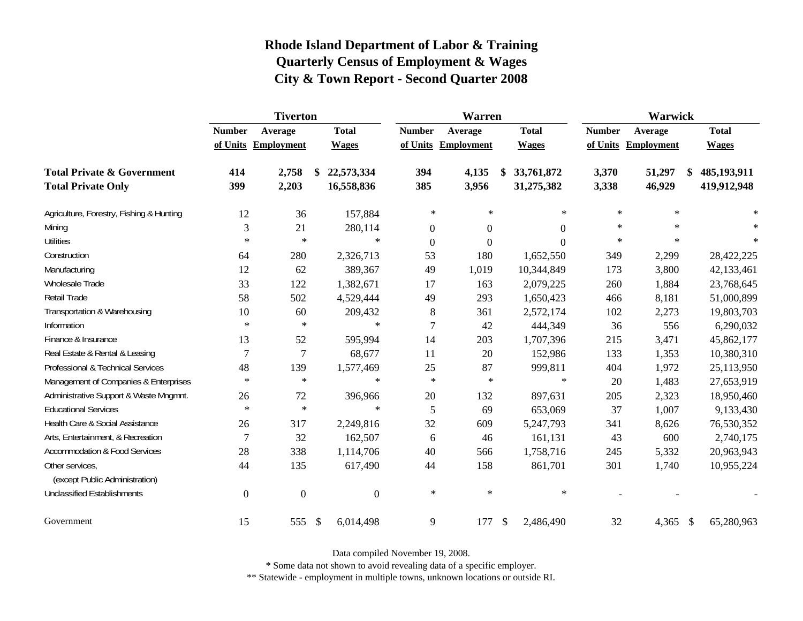|                                                   |                  | <b>Tiverton</b>     |     |              | Warren           |                     |                           |              | Warwick       |            |                   |
|---------------------------------------------------|------------------|---------------------|-----|--------------|------------------|---------------------|---------------------------|--------------|---------------|------------|-------------------|
|                                                   | <b>Number</b>    | Average             |     | <b>Total</b> | <b>Number</b>    | Average             |                           | <b>Total</b> | <b>Number</b> | Average    | <b>Total</b>      |
|                                                   |                  | of Units Employment |     | <b>Wages</b> |                  | of Units Employment |                           | <b>Wages</b> | of Units      | Employment | <b>Wages</b>      |
| <b>Total Private &amp; Government</b>             | 414              | 2,758               |     | 22,573,334   | 394              | 4,135               | \$                        | 33,761,872   | 3,370         | 51,297     | \$<br>485,193,911 |
| <b>Total Private Only</b>                         | 399              | 2,203               |     | 16,558,836   | 385              | 3,956               |                           | 31,275,382   | 3,338         | 46,929     | 419,912,948       |
| Agriculture, Forestry, Fishing & Hunting          | 12               | 36                  |     | 157,884      | $\ast$           | $\ast$              |                           | $\ast$       | $\star$       | $\ast$     |                   |
| Mining                                            | 3                | 21                  |     | 280,114      | $\boldsymbol{0}$ | $\boldsymbol{0}$    |                           | 0            | $\ast$        | $\star$    |                   |
| <b>Utilities</b>                                  | $\ast$           | $\ast$              |     | $\ast$       | $\boldsymbol{0}$ | $\boldsymbol{0}$    |                           | $\theta$     | $\ast$        | $\ast$     | $\ast$            |
| Construction                                      | 64               | 280                 |     | 2,326,713    | 53               | 180                 |                           | 1,652,550    | 349           | 2,299      | 28,422,225        |
| Manufacturing                                     | 12               | 62                  |     | 389,367      | 49               | 1,019               |                           | 10,344,849   | 173           | 3,800      | 42,133,461        |
| <b>Wholesale Trade</b>                            | 33               | 122                 |     | 1,382,671    | 17               | 163                 |                           | 2,079,225    | 260           | 1,884      | 23,768,645        |
| Retail Trade                                      | 58               | 502                 |     | 4,529,444    | 49               | 293                 |                           | 1,650,423    | 466           | 8,181      | 51,000,899        |
| Transportation & Warehousing                      | 10               | 60                  |     | 209,432      | 8                | 361                 |                           | 2,572,174    | 102           | 2,273      | 19,803,703        |
| Information                                       | $\ast$           | $\ast$              |     | $\ast$       | $\overline{7}$   | 42                  |                           | 444,349      | 36            | 556        | 6,290,032         |
| Finance & Insurance                               | 13               | 52                  |     | 595,994      | 14               | 203                 |                           | 1,707,396    | 215           | 3,471      | 45,862,177        |
| Real Estate & Rental & Leasing                    | $\overline{7}$   | $\tau$              |     | 68,677       | 11               | 20                  |                           | 152,986      | 133           | 1,353      | 10,380,310        |
| Professional & Technical Services                 | 48               | 139                 |     | 1,577,469    | $25\,$           | 87                  |                           | 999,811      | 404           | 1,972      | 25,113,950        |
| Management of Companies & Enterprises             | $\ast$           | $\ast$              |     | $\ast$       | $\ast$           | $\ast$              |                           | $\ast$       | 20            | 1,483      | 27,653,919        |
| Administrative Support & Waste Mngmnt.            | 26               | 72                  |     | 396,966      | $20\,$           | 132                 |                           | 897,631      | 205           | 2,323      | 18,950,460        |
| <b>Educational Services</b>                       | $\ast$           | $\ast$              |     | $\ast$       | 5                | 69                  |                           | 653,069      | 37            | 1,007      | 9,133,430         |
| Health Care & Social Assistance                   | 26               | 317                 |     | 2,249,816    | 32               | 609                 |                           | 5,247,793    | 341           | 8,626      | 76,530,352        |
| Arts, Entertainment, & Recreation                 | $\overline{7}$   | 32                  |     | 162,507      | 6                | 46                  |                           | 161,131      | 43            | 600        | 2,740,175         |
| <b>Accommodation &amp; Food Services</b>          | 28               | 338                 |     | 1,114,706    | 40               | 566                 |                           | 1,758,716    | 245           | 5,332      | 20,963,943        |
| Other services,<br>(except Public Administration) | 44               | 135                 |     | 617,490      | 44               | 158                 |                           | 861,701      | 301           | 1,740      | 10,955,224        |
| <b>Unclassified Establishments</b>                | $\boldsymbol{0}$ | $\boldsymbol{0}$    |     | $\mathbf{0}$ | $\ast$           | $\ast$              |                           | $\ast$       |               |            |                   |
| Government                                        | 15               | 555                 | -\$ | 6,014,498    | 9                | 177                 | $\boldsymbol{\mathsf{S}}$ | 2,486,490    | 32            | 4,365 \$   | 65,280,963        |

Data compiled November 19, 2008.

\* Some data not shown to avoid revealing data of a specific employer.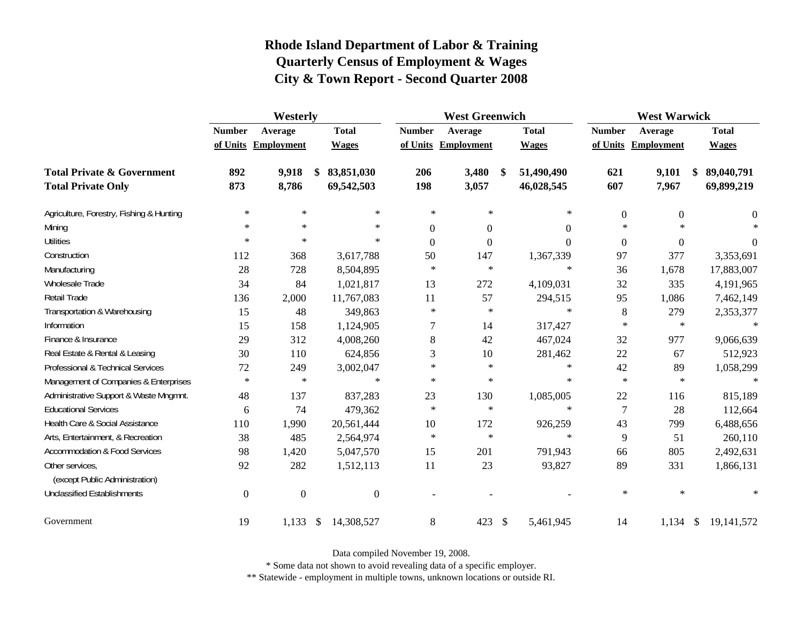|                                                   | Westerly       |                     |               |                |                  | <b>West Greenwich</b> |               |              | <b>West Warwick</b> |                     |              |                |  |
|---------------------------------------------------|----------------|---------------------|---------------|----------------|------------------|-----------------------|---------------|--------------|---------------------|---------------------|--------------|----------------|--|
|                                                   | <b>Number</b>  | Average             |               | <b>Total</b>   | <b>Number</b>    | Average               |               | <b>Total</b> | <b>Number</b>       | Average             | <b>Total</b> |                |  |
|                                                   |                | of Units Employment |               | <b>Wages</b>   |                  | of Units Employment   |               | <b>Wages</b> |                     | of Units Employment |              | <b>Wages</b>   |  |
| <b>Total Private &amp; Government</b>             | 892            | 9,918               | \$            | 83,851,030     | 206              | 3,480                 | $\mathbf{\$}$ | 51,490,490   | 621                 | 9,101               | \$           | 89,040,791     |  |
| <b>Total Private Only</b>                         | 873            | 8,786               |               | 69,542,503     | 198              | 3,057                 |               | 46,028,545   | 607                 | 7,967               |              | 69,899,219     |  |
| Agriculture, Forestry, Fishing & Hunting          | $\ast$         | $\ast$              |               | $\ast$         | $\ast$           | $\ast$                |               | $\ast$       | $\boldsymbol{0}$    | $\boldsymbol{0}$    |              | $\overline{0}$ |  |
| Mining                                            | $\ast$         | $\ast$              |               | $\ast$         | $\Omega$         | $\overline{0}$        |               | $\Omega$     | $\ast$              | $*$                 |              | $\ast$         |  |
| <b>Utilities</b>                                  | $\ast$         | $\ast$              |               | $\ast$         | $\boldsymbol{0}$ | $\boldsymbol{0}$      |               | $\theta$     | $\boldsymbol{0}$    | $\Omega$            |              | $\overline{0}$ |  |
| Construction                                      | 112            | 368                 |               | 3,617,788      | 50               | 147                   |               | 1,367,339    | 97                  | 377                 |              | 3,353,691      |  |
| Manufacturing                                     | 28             | 728                 |               | 8,504,895      | $\ast$           | $\ast$                |               | $\ast$       | 36                  | 1,678               |              | 17,883,007     |  |
| Wholesale Trade                                   | 34             | 84                  |               | 1,021,817      | 13               | 272                   |               | 4,109,031    | 32                  | 335                 |              | 4,191,965      |  |
| Retail Trade                                      | 136            | 2,000               |               | 11,767,083     | 11               | 57                    |               | 294,515      | 95                  | 1,086               |              | 7,462,149      |  |
| Transportation & Warehousing                      | 15             | 48                  |               | 349,863        | $\ast$           | $\ast$                |               | $\ast$       | $\,8\,$             | 279                 |              | 2,353,377      |  |
| Information                                       | 15             | 158                 |               | 1,124,905      | 7                | 14                    |               | 317,427      | $\ast$              | $\ast$              |              | $\ast$         |  |
| Finance & Insurance                               | 29             | 312                 |               | 4,008,260      | 8                | 42                    |               | 467,024      | 32                  | 977                 |              | 9,066,639      |  |
| Real Estate & Rental & Leasing                    | 30             | 110                 |               | 624,856        | 3                | 10                    |               | 281,462      | 22                  | 67                  |              | 512,923        |  |
| Professional & Technical Services                 | 72             | 249                 |               | 3,002,047      | $\ast$           | $\ast$                |               | $\ast$       | 42                  | 89                  |              | 1,058,299      |  |
| Management of Companies & Enterprises             | $\ast$         | $\ast$              |               | $\ast$         | $\ast$           | $\ast$                |               | $\ast$       | $\ast$              | $\ast$              |              | $\ast$         |  |
| Administrative Support & Waste Mngmnt.            | 48             | 137                 |               | 837,283        | 23               | 130                   |               | 1,085,005    | 22                  | 116                 |              | 815,189        |  |
| <b>Educational Services</b>                       | 6              | 74                  |               | 479,362        | $\ast$           | $\ast$                |               | $\ast$       | $\tau$              | 28                  |              | 112,664        |  |
| Health Care & Social Assistance                   | 110            | 1,990               |               | 20,561,444     | 10               | 172                   |               | 926,259      | 43                  | 799                 |              | 6,488,656      |  |
| Arts, Entertainment, & Recreation                 | 38             | 485                 |               | 2,564,974      | $\ast$           | $\ast$                |               | $\ast$       | 9                   | 51                  |              | 260,110        |  |
| <b>Accommodation &amp; Food Services</b>          | 98             | 1,420               |               | 5,047,570      | 15               | 201                   |               | 791,943      | 66                  | 805                 |              | 2,492,631      |  |
| Other services,<br>(except Public Administration) | 92             | 282                 |               | 1,512,113      | 11               | 23                    |               | 93,827       | 89                  | 331                 |              | 1,866,131      |  |
| <b>Unclassified Establishments</b>                | $\overline{0}$ | $\boldsymbol{0}$    |               | $\overline{0}$ |                  |                       |               |              | $\ast$              | $\ast$              |              | $\ast$         |  |
| Government                                        | 19             | 1,133               | $\mathcal{S}$ | 14,308,527     | 8                | 423                   | $\mathcal{S}$ | 5,461,945    | 14                  | $1,134$ \$          |              | 19, 141, 572   |  |

Data compiled November 19, 2008.

\* Some data not shown to avoid revealing data of a specific employer.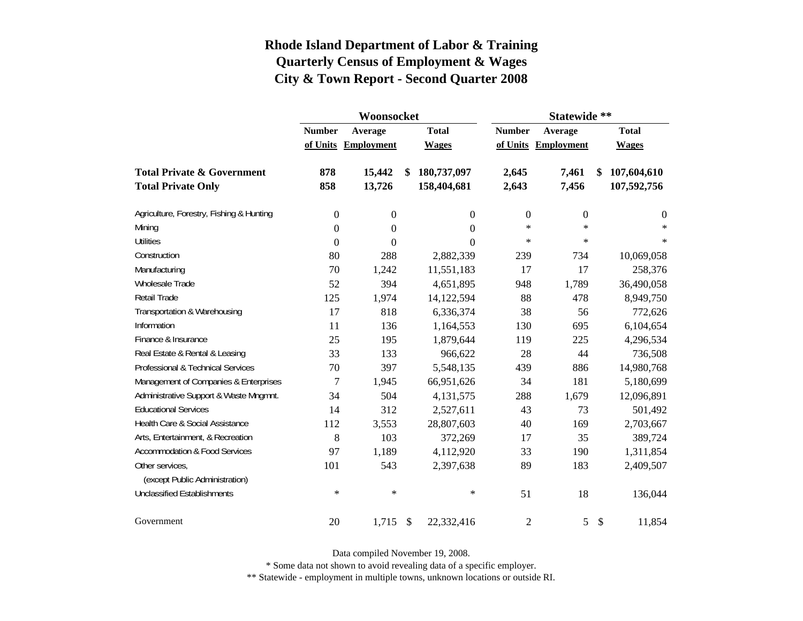|                                          |                  | Woonsocket        |                   | Statewide **     |                   |                           |                |  |  |  |
|------------------------------------------|------------------|-------------------|-------------------|------------------|-------------------|---------------------------|----------------|--|--|--|
|                                          | <b>Number</b>    | Average           | <b>Total</b>      | <b>Number</b>    | Average           |                           | <b>Total</b>   |  |  |  |
|                                          | of Units         | <b>Employment</b> | <b>Wages</b>      | of Units         | <b>Employment</b> |                           | <b>Wages</b>   |  |  |  |
| <b>Total Private &amp; Government</b>    | 878              | 15,442            | \$<br>180,737,097 | 2,645            | 7,461             | \$                        | 107,604,610    |  |  |  |
| <b>Total Private Only</b>                | 858              | 13,726            | 158,404,681       | 2,643            | 7,456             |                           | 107,592,756    |  |  |  |
| Agriculture, Forestry, Fishing & Hunting | $\boldsymbol{0}$ | 0                 | $\overline{0}$    | $\boldsymbol{0}$ | $\boldsymbol{0}$  |                           | $\overline{0}$ |  |  |  |
| Mining                                   | $\boldsymbol{0}$ | $\theta$          | $\theta$          | $\ast$           | $\star$           |                           | $\ast$         |  |  |  |
| <b>Utilities</b>                         | $\boldsymbol{0}$ | $\boldsymbol{0}$  | $\Omega$          | $\ast$           | $\ast$            |                           | $\star$        |  |  |  |
| Construction                             | 80               | 288               | 2,882,339         | 239              | 734               |                           | 10,069,058     |  |  |  |
| Manufacturing                            | 70               | 1,242             | 11,551,183        | 17               | 17                |                           | 258,376        |  |  |  |
| Wholesale Trade                          | 52               | 394               | 4,651,895         | 948              | 1,789             |                           | 36,490,058     |  |  |  |
| Retail Trade                             | 125              | 1,974             | 14,122,594        | 88               | 478               |                           | 8,949,750      |  |  |  |
| Transportation & Warehousing             | 17               | 818               | 6,336,374         | 38               | 56                |                           | 772,626        |  |  |  |
| Information                              | 11               | 136               | 1,164,553         | 130              | 695               |                           | 6,104,654      |  |  |  |
| Finance & Insurance                      | 25               | 195               | 1,879,644         | 119              | 225               |                           | 4,296,534      |  |  |  |
| Real Estate & Rental & Leasing           | 33               | 133               | 966,622           | 28               | 44                |                           | 736,508        |  |  |  |
| Professional & Technical Services        | 70               | 397               | 5,548,135         | 439              | 886               |                           | 14,980,768     |  |  |  |
| Management of Companies & Enterprises    | $\overline{7}$   | 1,945             | 66,951,626        | 34               | 181               |                           | 5,180,699      |  |  |  |
| Administrative Support & Waste Mngmnt.   | 34               | 504               | 4,131,575         | 288              | 1,679             |                           | 12,096,891     |  |  |  |
| <b>Educational Services</b>              | 14               | 312               | 2,527,611         | 43               | 73                |                           | 501,492        |  |  |  |
| Health Care & Social Assistance          | 112              | 3,553             | 28,807,603        | 40               | 169               |                           | 2,703,667      |  |  |  |
| Arts, Entertainment, & Recreation        | 8                | 103               | 372,269           | 17               | 35                |                           | 389,724        |  |  |  |
| <b>Accommodation &amp; Food Services</b> | 97               | 1,189             | 4,112,920         | 33               | 190               |                           | 1,311,854      |  |  |  |
| Other services,                          | 101              | 543               | 2,397,638         | 89               | 183               |                           | 2,409,507      |  |  |  |
| (except Public Administration)           |                  |                   |                   |                  |                   |                           |                |  |  |  |
| <b>Unclassified Establishments</b>       | $\ast$           | $\ast$            | $\ast$            | 51               | 18                |                           | 136,044        |  |  |  |
| Government                               | 20               | $1,715$ \$        | 22,332,416        | $\mathfrak{2}$   | 5                 | $\boldsymbol{\mathsf{S}}$ | 11,854         |  |  |  |

Data compiled November 19, 2008.

\* Some data not shown to avoid revealing data of a specific employer.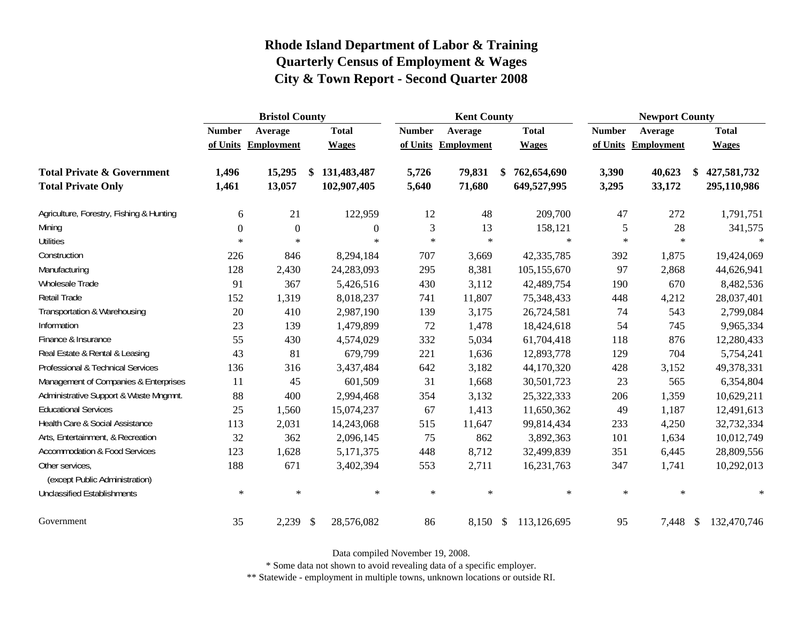|                                                   |               | <b>Bristol County</b> |                           |                |               | <b>Kent County</b>  |                   | <b>Newport County</b> |                   |    |              |
|---------------------------------------------------|---------------|-----------------------|---------------------------|----------------|---------------|---------------------|-------------------|-----------------------|-------------------|----|--------------|
|                                                   | <b>Number</b> | Average               |                           | <b>Total</b>   | <b>Number</b> | Average             | <b>Total</b>      | <b>Number</b>         | Average           |    | <b>Total</b> |
|                                                   |               | of Units Employment   |                           | <b>Wages</b>   |               | of Units Employment | <b>Wages</b>      | of Units              | <b>Employment</b> |    | <b>Wages</b> |
| <b>Total Private &amp; Government</b>             | 1,496         | 15,295                | \$                        | 131,483,487    | 5,726         | 79,831              | \$<br>762,654,690 | 3,390                 | 40,623            | \$ | 427,581,732  |
| <b>Total Private Only</b>                         | 1,461         | 13,057                |                           | 102,907,405    | 5,640         | 71,680              | 649,527,995       | 3,295                 | 33,172            |    | 295,110,986  |
| Agriculture, Forestry, Fishing & Hunting          | 6             | 21                    |                           | 122,959        | 12            | 48                  | 209,700           | 47                    | 272               |    | 1,791,751    |
| Mining                                            | $\Omega$      | $\overline{0}$        |                           | $\overline{0}$ | 3             | 13                  | 158,121           | 5                     | 28                |    | 341,575      |
| <b>Utilities</b>                                  | $\ast$        | $\ast$                |                           | $\ast$         | $\star$       | $\ast$              | $\ast$            | $\ast$                | $\ast$            |    | $\ast$       |
| Construction                                      | 226           | 846                   |                           | 8,294,184      | 707           | 3,669               | 42,335,785        | 392                   | 1,875             |    | 19,424,069   |
| Manufacturing                                     | 128           | 2,430                 |                           | 24,283,093     | 295           | 8,381               | 105,155,670       | 97                    | 2,868             |    | 44,626,941   |
| Wholesale Trade                                   | 91            | 367                   |                           | 5,426,516      | 430           | 3,112               | 42,489,754        | 190                   | 670               |    | 8,482,536    |
| Retail Trade                                      | 152           | 1,319                 |                           | 8,018,237      | 741           | 11,807              | 75,348,433        | 448                   | 4,212             |    | 28,037,401   |
| Transportation & Warehousing                      | 20            | 410                   |                           | 2,987,190      | 139           | 3,175               | 26,724,581        | 74                    | 543               |    | 2,799,084    |
| Information                                       | 23            | 139                   |                           | 1,479,899      | 72            | 1,478               | 18,424,618        | 54                    | 745               |    | 9,965,334    |
| Finance & Insurance                               | 55            | 430                   |                           | 4,574,029      | 332           | 5,034               | 61,704,418        | 118                   | 876               |    | 12,280,433   |
| Real Estate & Rental & Leasing                    | 43            | 81                    |                           | 679,799        | 221           | 1,636               | 12,893,778        | 129                   | 704               |    | 5,754,241    |
| Professional & Technical Services                 | 136           | 316                   |                           | 3,437,484      | 642           | 3,182               | 44,170,320        | 428                   | 3,152             |    | 49,378,331   |
| Management of Companies & Enterprises             | 11            | 45                    |                           | 601,509        | 31            | 1,668               | 30,501,723        | 23                    | 565               |    | 6,354,804    |
| Administrative Support & Waste Mngmnt.            | 88            | 400                   |                           | 2,994,468      | 354           | 3,132               | 25,322,333        | 206                   | 1,359             |    | 10,629,211   |
| <b>Educational Services</b>                       | 25            | 1,560                 |                           | 15,074,237     | 67            | 1,413               | 11,650,362        | 49                    | 1,187             |    | 12,491,613   |
| Health Care & Social Assistance                   | 113           | 2,031                 |                           | 14,243,068     | 515           | 11,647              | 99,814,434        | 233                   | 4,250             |    | 32,732,334   |
| Arts, Entertainment, & Recreation                 | 32            | 362                   |                           | 2,096,145      | 75            | 862                 | 3,892,363         | 101                   | 1,634             |    | 10,012,749   |
| <b>Accommodation &amp; Food Services</b>          | 123           | 1,628                 |                           | 5,171,375      | 448           | 8,712               | 32,499,839        | 351                   | 6,445             |    | 28,809,556   |
| Other services,<br>(except Public Administration) | 188           | 671                   |                           | 3,402,394      | 553           | 2,711               | 16,231,763        | 347                   | 1,741             |    | 10,292,013   |
| <b>Unclassified Establishments</b>                | $\ast$        | $\ast$                |                           | $\ast$         | $\ast$        | $\ast$              | $\ast$            | $\ast$                | $\ast$            |    | $\ast$       |
| Government                                        | 35            | 2,239                 | $\boldsymbol{\mathsf{S}}$ | 28,576,082     | 86            | 8,150 \$            | 113,126,695       | 95                    | 7,448 \$          |    | 132,470,746  |

Data compiled November 19, 2008.

\* Some data not shown to avoid revealing data of a specific employer.